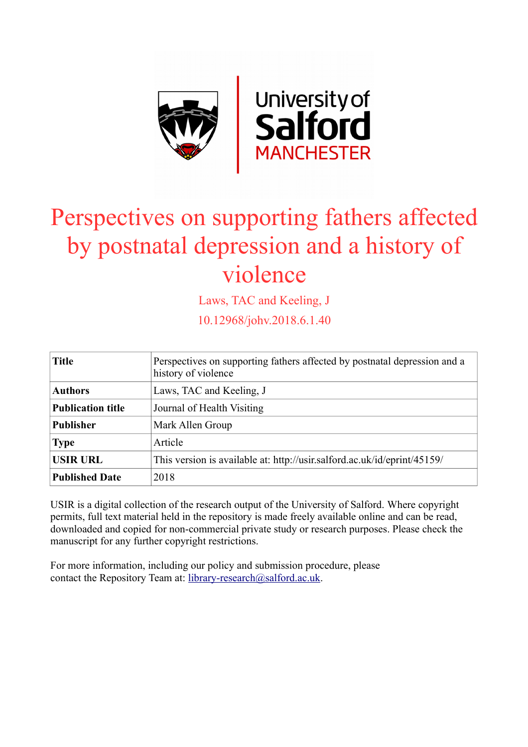

# Perspectives on supporting fathers affected by postnatal depression and a history of violence

Laws, TAC and Keeling, J

10.12968/johv.2018.6.1.40

| <b>Title</b>             | Perspectives on supporting fathers affected by postnatal depression and a<br>history of violence |
|--------------------------|--------------------------------------------------------------------------------------------------|
| <b>Authors</b>           | Laws, TAC and Keeling, J                                                                         |
| <b>Publication title</b> | Journal of Health Visiting                                                                       |
| <b>Publisher</b>         | Mark Allen Group                                                                                 |
| <b>Type</b>              | Article                                                                                          |
| <b>USIR URL</b>          | This version is available at: http://usir.salford.ac.uk/id/eprint/45159/                         |
| <b>Published Date</b>    | 2018                                                                                             |

USIR is a digital collection of the research output of the University of Salford. Where copyright permits, full text material held in the repository is made freely available online and can be read, downloaded and copied for non-commercial private study or research purposes. Please check the manuscript for any further copyright restrictions.

For more information, including our policy and submission procedure, please contact the Repository Team at: [library-research@salford.ac.uk.](mailto:library-research@salford.ac.uk)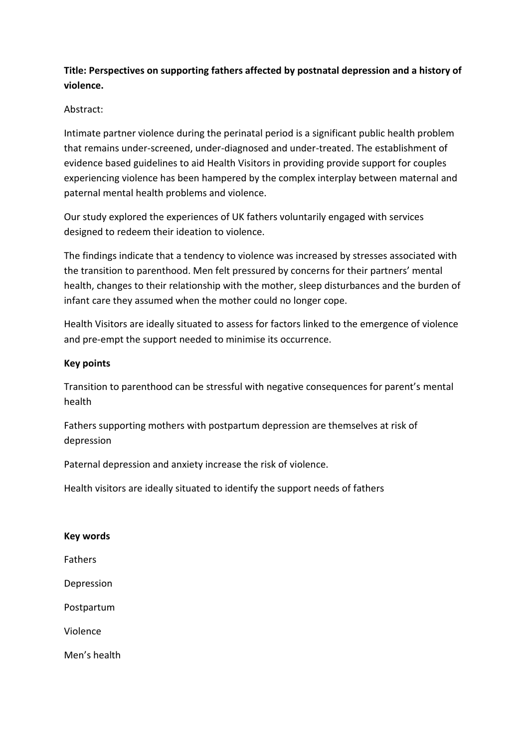# **Title: Perspectives on supporting fathers affected by postnatal depression and a history of violence.**

## Abstract:

Intimate partner violence during the perinatal period is a significant public health problem that remains under-screened, under-diagnosed and under-treated. The establishment of evidence based guidelines to aid Health Visitors in providing provide support for couples experiencing violence has been hampered by the complex interplay between maternal and paternal mental health problems and violence.

Our study explored the experiences of UK fathers voluntarily engaged with services designed to redeem their ideation to violence.

The findings indicate that a tendency to violence was increased by stresses associated with the transition to parenthood. Men felt pressured by concerns for their partners' mental health, changes to their relationship with the mother, sleep disturbances and the burden of infant care they assumed when the mother could no longer cope.

Health Visitors are ideally situated to assess for factors linked to the emergence of violence and pre-empt the support needed to minimise its occurrence.

## **Key points**

Transition to parenthood can be stressful with negative consequences for parent's mental health

Fathers supporting mothers with postpartum depression are themselves at risk of depression

Paternal depression and anxiety increase the risk of violence.

Health visitors are ideally situated to identify the support needs of fathers

## **Key words**

Fathers

Depression

Postpartum

Violence

Men's health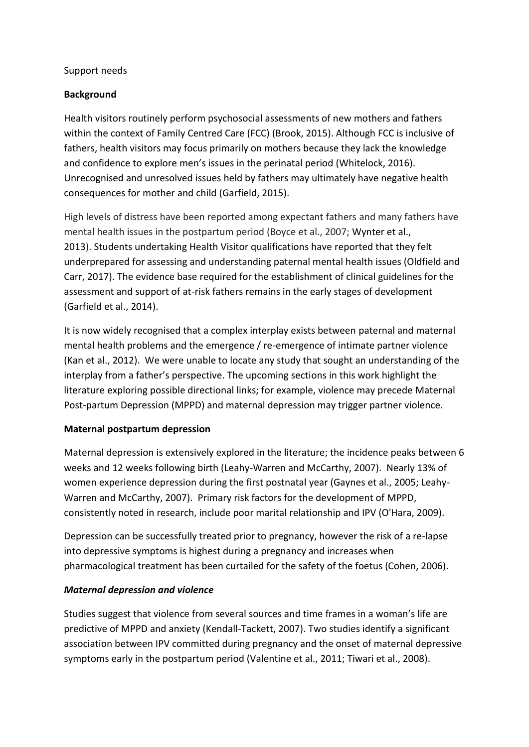## Support needs

## **Background**

Health visitors routinely perform psychosocial assessments of new mothers and fathers within the context of Family Centred Care (FCC) (Brook, 2015). Although FCC is inclusive of fathers, health visitors may focus primarily on mothers because they lack the knowledge and confidence to explore men's issues in the perinatal period (Whitelock, 2016). Unrecognised and unresolved issues held by fathers may ultimately have negative health consequences for mother and child (Garfield, 2015).

High levels of distress have been reported among expectant fathers and many fathers have mental health issues in the postpartum period (Boyce et al., 2007; Wynter et al., 2013). Students undertaking Health Visitor qualifications have reported that they felt underprepared for assessing and understanding paternal mental health issues (Oldfield and Carr, 2017). The evidence base required for the establishment of clinical guidelines for the assessment and support of at-risk fathers remains in the early stages of development (Garfield et al., 2014).

It is now widely recognised that a complex interplay exists between paternal and maternal mental health problems and the emergence / re-emergence of intimate partner violence (Kan et al., 2012). We were unable to locate any study that sought an understanding of the interplay from a father's perspective. The upcoming sections in this work highlight the literature exploring possible directional links; for example, violence may precede Maternal Post-partum Depression (MPPD) and maternal depression may trigger partner violence.

## **Maternal postpartum depression**

Maternal depression is extensively explored in the literature; the incidence peaks between 6 weeks and 12 weeks following birth (Leahy-Warren and McCarthy, 2007). Nearly 13% of women experience depression during the first postnatal year (Gaynes et al., 2005; Leahy-Warren and McCarthy, 2007). Primary risk factors for the development of MPPD, consistently noted in research, include poor marital relationship and IPV (O'Hara, 2009).

Depression can be successfully treated prior to pregnancy, however the risk of a re-lapse into depressive symptoms is highest during a pregnancy and increases when pharmacological treatment has been curtailed for the safety of the foetus (Cohen, 2006).

## *Maternal depression and violence*

Studies suggest that violence from several sources and time frames in a woman's life are predictive of MPPD and anxiety (Kendall-Tackett, 2007). Two studies identify a significant association between IPV committed during pregnancy and the onset of maternal depressive symptoms early in the postpartum period (Valentine et al., 2011; Tiwari et al., 2008).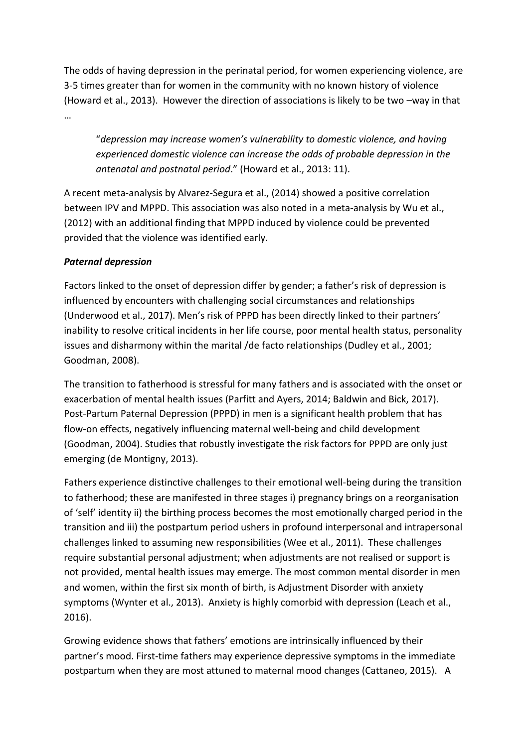The odds of having depression in the perinatal period, for women experiencing violence, are 3-5 times greater than for women in the community with no known history of violence (Howard et al., 2013). However the direction of associations is likely to be two –way in that

…

"*depression may increase women's vulnerability to domestic violence, and having experienced domestic violence can increase the odds of probable depression in the antenatal and postnatal period*." (Howard et al., 2013: 11).

A recent meta-analysis by Alvarez-Segura et al., (2014) showed a positive correlation between IPV and MPPD. This association was also noted in a meta-analysis by Wu et al., (2012) with an additional finding that MPPD induced by violence could be prevented provided that the violence was identified early.

# *Paternal depression*

Factors linked to the onset of depression differ by gender; a father's risk of depression is influenced by encounters with challenging social circumstances and relationships (Underwood et al., 2017). Men's risk of PPPD has been directly linked to their partners' inability to resolve critical incidents in her life course, poor mental health status, personality issues and disharmony within the marital /de facto relationships (Dudley et al., 2001; Goodman, 2008).

The transition to fatherhood is stressful for many fathers and is associated with the onset or exacerbation of mental health issues (Parfitt and Ayers, 2014; Baldwin and Bick, 2017). Post-Partum Paternal Depression (PPPD) in men is a significant health problem that has flow-on effects, negatively influencing maternal well-being and child development (Goodman, 2004). Studies that robustly investigate the risk factors for PPPD are only just emerging (de Montigny, 2013).

Fathers experience distinctive challenges to their emotional well-being during the transition to fatherhood; these are manifested in three stages i) pregnancy brings on a reorganisation of 'self' identity ii) the birthing process becomes the most emotionally charged period in the transition and iii) the postpartum period ushers in profound interpersonal and intrapersonal challenges linked to assuming new responsibilities (Wee et al., 2011). These challenges require substantial personal adjustment; when adjustments are not realised or support is not provided, mental health issues may emerge. The most common mental disorder in men and women, within the first six month of birth, is Adjustment Disorder with anxiety symptoms (Wynter et al., 2013). Anxiety is highly comorbid with depression (Leach et al., 2016).

Growing evidence shows that fathers' emotions are intrinsically influenced by their partner's mood. First-time fathers may experience depressive symptoms in the immediate postpartum when they are most attuned to maternal mood changes (Cattaneo, 2015). A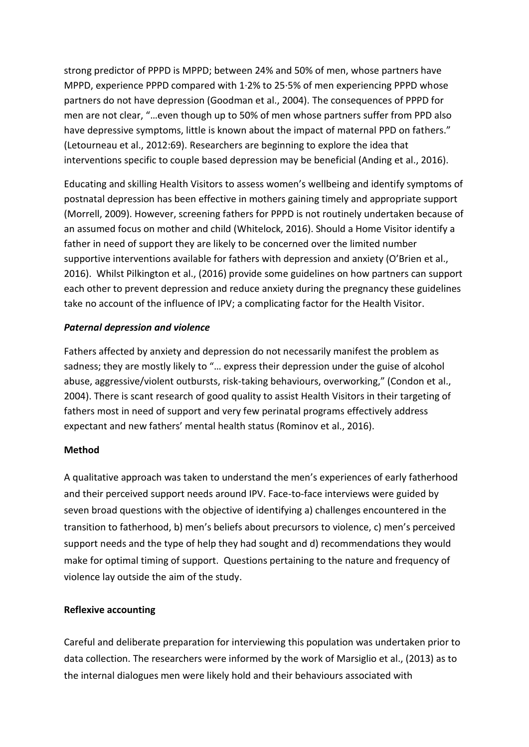strong predictor of PPPD is MPPD; between 24% and 50% of men, whose partners have MPPD, experience PPPD compared with 1·2% to 25·5% of men experiencing PPPD whose partners do not have depression (Goodman et al., 2004). The consequences of PPPD for men are not clear, "…even though up to 50% of men whose partners suffer from PPD also have depressive symptoms, little is known about the impact of maternal PPD on fathers." (Letourneau et al., 2012:69). Researchers are beginning to explore the idea that interventions specific to couple based depression may be beneficial (Anding et al., 2016).

Educating and skilling Health Visitors to assess women's wellbeing and identify symptoms of postnatal depression has been effective in mothers gaining timely and appropriate support (Morrell, 2009). However, screening fathers for PPPD is not routinely undertaken because of an assumed focus on mother and child (Whitelock, 2016). Should a Home Visitor identify a father in need of support they are likely to be concerned over the limited number supportive interventions available for fathers with depression and anxiety (O'Brien et al., 2016). Whilst Pilkington et al., (2016) provide some guidelines on how partners can support each other to prevent depression and reduce anxiety during the pregnancy these guidelines take no account of the influence of IPV; a complicating factor for the Health Visitor.

## *Paternal depression and violence*

Fathers affected by anxiety and depression do not necessarily manifest the problem as sadness; they are mostly likely to "… express their depression under the guise of alcohol abuse, aggressive/violent outbursts, risk-taking behaviours, overworking," (Condon et al., 2004). There is scant research of good quality to assist Health Visitors in their targeting of fathers most in need of support and very few perinatal programs effectively address expectant and new fathers' mental health status (Rominov et al., 2016).

#### **Method**

A qualitative approach was taken to understand the men's experiences of early fatherhood and their perceived support needs around IPV. Face-to-face interviews were guided by seven broad questions with the objective of identifying a) challenges encountered in the transition to fatherhood, b) men's beliefs about precursors to violence, c) men's perceived support needs and the type of help they had sought and d) recommendations they would make for optimal timing of support. Questions pertaining to the nature and frequency of violence lay outside the aim of the study.

#### **Reflexive accounting**

Careful and deliberate preparation for interviewing this population was undertaken prior to data collection. The researchers were informed by the work of Marsiglio et al., (2013) as to the internal dialogues men were likely hold and their behaviours associated with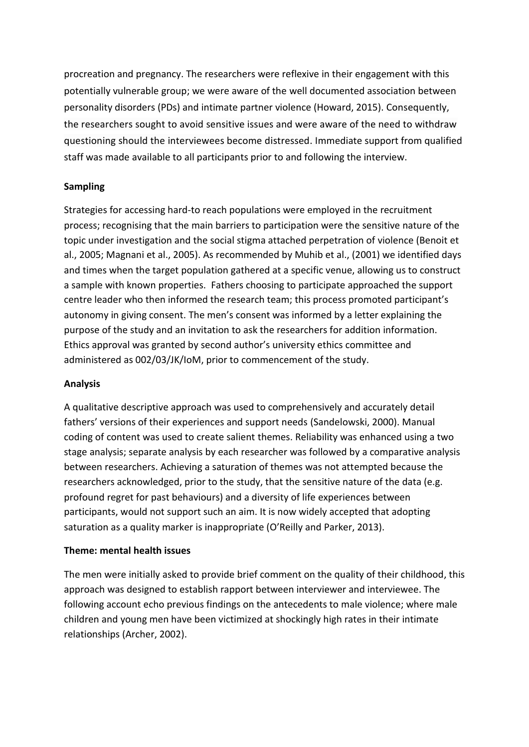procreation and pregnancy. The researchers were reflexive in their engagement with this potentially vulnerable group; we were aware of the well documented association between personality disorders (PDs) and intimate partner violence (Howard, 2015). Consequently, the researchers sought to avoid sensitive issues and were aware of the need to withdraw questioning should the interviewees become distressed. Immediate support from qualified staff was made available to all participants prior to and following the interview.

## **Sampling**

Strategies for accessing hard-to reach populations were employed in the recruitment process; recognising that the main barriers to participation were the sensitive nature of the topic under investigation and the social stigma attached perpetration of violence (Benoit et al., 2005; Magnani et al., 2005). As recommended by Muhib et al., (2001) we identified days and times when the target population gathered at a specific venue, allowing us to construct a sample with known properties. Fathers choosing to participate approached the support centre leader who then informed the research team; this process promoted participant's autonomy in giving consent. The men's consent was informed by a letter explaining the purpose of the study and an invitation to ask the researchers for addition information. Ethics approval was granted by second author's university ethics committee and administered as 002/03/JK/IoM, prior to commencement of the study.

## **Analysis**

A qualitative descriptive approach was used to comprehensively and accurately detail fathers' versions of their experiences and support needs (Sandelowski, 2000). Manual coding of content was used to create salient themes. Reliability was enhanced using a two stage analysis; separate analysis by each researcher was followed by a comparative analysis between researchers. Achieving a saturation of themes was not attempted because the researchers acknowledged, prior to the study, that the sensitive nature of the data (e.g. profound regret for past behaviours) and a diversity of life experiences between participants, would not support such an aim. It is now widely accepted that adopting saturation as a quality marker is inappropriate (O'Reilly and Parker, 2013).

## **Theme: mental health issues**

The men were initially asked to provide brief comment on the quality of their childhood, this approach was designed to establish rapport between interviewer and interviewee. The following account echo previous findings on the antecedents to male violence; where male children and young men have been victimized at shockingly high rates in their intimate relationships (Archer, 2002).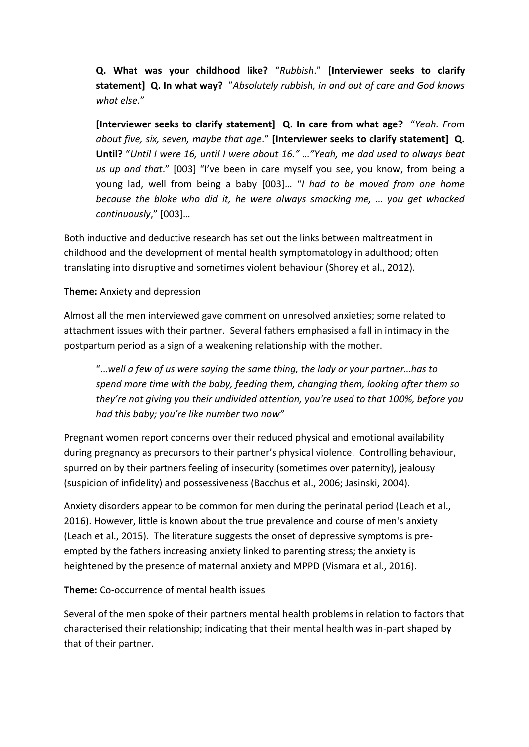**Q. What was your childhood like?** "*Rubbish*." **[Interviewer seeks to clarify statement] Q. In what way?** "*Absolutely rubbish, in and out of care and God knows what else*."

**[Interviewer seeks to clarify statement] Q. In care from what age?** "*Yeah. From about five, six, seven, maybe that age*." **[Interviewer seeks to clarify statement] Q. Until?** "*Until I were 16, until I were about 16." …"Yeah, me dad used to always beat us up and that*." [003] "I've been in care myself you see, you know, from being a young lad, well from being a baby [003]… "*I had to be moved from one home because the bloke who did it, he were always smacking me, … you get whacked continuously*," [003]…

Both inductive and deductive research has set out the links between maltreatment in childhood and the development of mental health symptomatology in adulthood; often translating into disruptive and sometimes violent behaviour (Shorey et al., 2012).

## **Theme:** Anxiety and depression

Almost all the men interviewed gave comment on unresolved anxieties; some related to attachment issues with their partner. Several fathers emphasised a fall in intimacy in the postpartum period as a sign of a weakening relationship with the mother.

"…*well a few of us were saying the same thing, the lady or your partner…has to spend more time with the baby, feeding them, changing them, looking after them so they're not giving you their undivided attention, you're used to that 100%, before you had this baby; you're like number two now"*

Pregnant women report concerns over their reduced physical and emotional availability during pregnancy as precursors to their partner's physical violence. Controlling behaviour, spurred on by their partners feeling of insecurity (sometimes over paternity), jealousy (suspicion of infidelity) and possessiveness (Bacchus et al., 2006; Jasinski, 2004).

Anxiety disorders appear to be common for men during the perinatal period (Leach et al., 2016). However, little is known about the true prevalence and course of men's anxiety (Leach et al., 2015). The literature suggests the onset of depressive symptoms is preempted by the fathers increasing anxiety linked to parenting stress; the anxiety is heightened by the presence of maternal anxiety and MPPD (Vismara et al., 2016).

## **Theme:** Co-occurrence of mental health issues

Several of the men spoke of their partners mental health problems in relation to factors that characterised their relationship; indicating that their mental health was in-part shaped by that of their partner.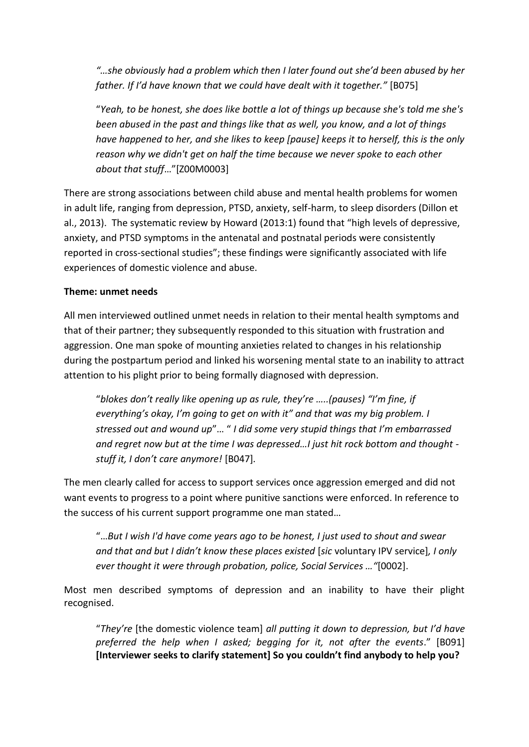*"…she obviously had a problem which then I later found out she'd been abused by her father. If I'd have known that we could have dealt with it together."* [B075]

"*Yeah, to be honest, she does like bottle a lot of things up because she's told me she's been abused in the past and things like that as well, you know, and a lot of things have happened to her, and she likes to keep [pause] keeps it to herself, this is the only reason why we didn't get on half the time because we never spoke to each other about that stuff*…"[Z00M0003]

There are strong associations between child abuse and mental health problems for women in adult life, ranging from depression, PTSD, anxiety, self-harm, to sleep disorders (Dillon et al., 2013). The systematic review by Howard (2013:1) found that "high levels of depressive, anxiety, and PTSD symptoms in the antenatal and postnatal periods were consistently reported in cross-sectional studies"; these findings were significantly associated with life experiences of domestic violence and abuse.

## **Theme: unmet needs**

All men interviewed outlined unmet needs in relation to their mental health symptoms and that of their partner; they subsequently responded to this situation with frustration and aggression. One man spoke of mounting anxieties related to changes in his relationship during the postpartum period and linked his worsening mental state to an inability to attract attention to his plight prior to being formally diagnosed with depression.

"*blokes don't really like opening up as rule, they're …..(pauses) "I'm fine, if everything's okay, I'm going to get on with it" and that was my big problem. I stressed out and wound up*"… " *I did some very stupid things that I'm embarrassed and regret now but at the time I was depressed…I just hit rock bottom and thought stuff it, I don't care anymore!* [B047]*.*

The men clearly called for access to support services once aggression emerged and did not want events to progress to a point where punitive sanctions were enforced. In reference to the success of his current support programme one man stated…

"…*But I wish I'd have come years ago to be honest, I just used to shout and swear and that and but I didn't know these places existed* [*sic* voluntary IPV service]*, I only ever thought it were through probation, police, Social Services …"*[0002].

Most men described symptoms of depression and an inability to have their plight recognised.

"*They're* [the domestic violence team] *all putting it down to depression, but I'd have preferred the help when I asked; begging for it, not after the events*." [B091] **[Interviewer seeks to clarify statement] So you couldn't find anybody to help you?**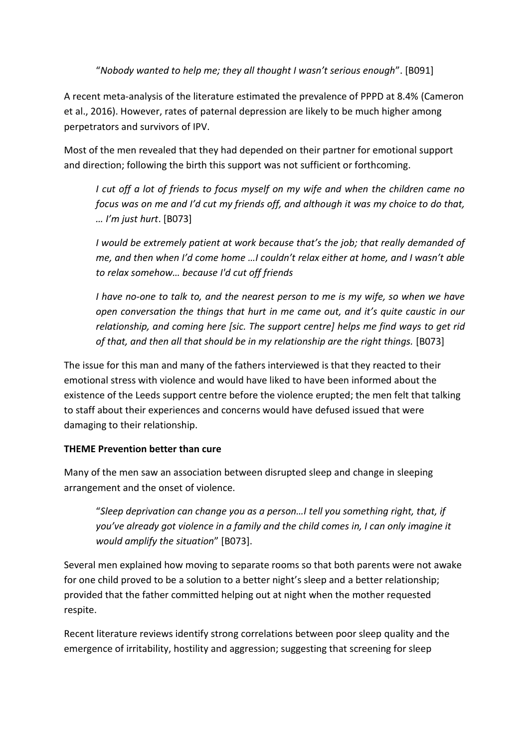"*Nobody wanted to help me; they all thought I wasn't serious enough*". [B091]

A recent meta-analysis of the literature estimated the prevalence of PPPD at 8.4% (Cameron et al., 2016). However, rates of paternal depression are likely to be much higher among perpetrators and survivors of IPV.

Most of the men revealed that they had depended on their partner for emotional support and direction; following the birth this support was not sufficient or forthcoming.

*I cut off a lot of friends to focus myself on my wife and when the children came no focus was on me and I'd cut my friends off, and although it was my choice to do that, … I'm just hurt*. [B073]

*I would be extremely patient at work because that's the job; that really demanded of me, and then when I'd come home …I couldn't relax either at home, and I wasn't able to relax somehow… because I'd cut off friends*

*I have no-one to talk to, and the nearest person to me is my wife, so when we have open conversation the things that hurt in me came out, and it's quite caustic in our relationship, and coming here [sic. The support centre] helps me find ways to get rid of that, and then all that should be in my relationship are the right things.* [B073]

The issue for this man and many of the fathers interviewed is that they reacted to their emotional stress with violence and would have liked to have been informed about the existence of the Leeds support centre before the violence erupted; the men felt that talking to staff about their experiences and concerns would have defused issued that were damaging to their relationship.

# **THEME Prevention better than cure**

Many of the men saw an association between disrupted sleep and change in sleeping arrangement and the onset of violence.

"*Sleep deprivation can change you as a person…I tell you something right, that, if you've already got violence in a family and the child comes in, I can only imagine it would amplify the situation*" [B073].

Several men explained how moving to separate rooms so that both parents were not awake for one child proved to be a solution to a better night's sleep and a better relationship; provided that the father committed helping out at night when the mother requested respite.

Recent literature reviews identify strong correlations between poor sleep quality and the emergence of irritability, hostility and aggression; suggesting that screening for sleep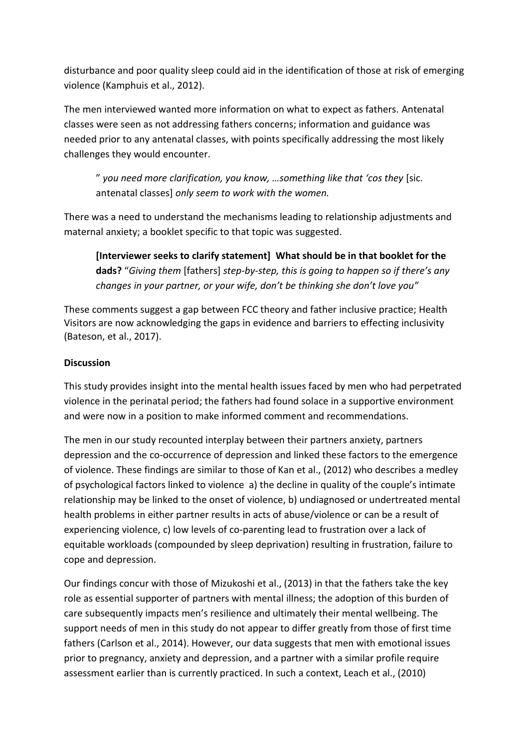disturbance and poor quality sleep could aid in the identification of those at risk of emerging violence (Kamphuis et al., 2012).

The men interviewed wanted more information on what to expect as fathers. Antenatal classes were seen as not addressing fathers concerns; information and guidance was needed prior to any antenatal classes, with points specifically addressing the most likely challenges they would encounter.

" *you need more clarification, you know, …something like that 'cos they* [sic. antenatal classes] *only seem to work with the women.*

There was a need to understand the mechanisms leading to relationship adjustments and maternal anxiety; a booklet specific to that topic was suggested.

**[Interviewer seeks to clarify statement] What should be in that booklet for the dads?** "*Giving them* [fathers] *step-by-step, this is going to happen so if there's any changes in your partner, or your wife, don't be thinking she don't love you"*

These comments suggest a gap between FCC theory and father inclusive practice; Health Visitors are now acknowledging the gaps in evidence and barriers to effecting inclusivity (Bateson, et al., 2017).

# **Discussion**

This study provides insight into the mental health issues faced by men who had perpetrated violence in the perinatal period; the fathers had found solace in a supportive environment and were now in a position to make informed comment and recommendations.

The men in our study recounted interplay between their partners anxiety, partners depression and the co-occurrence of depression and linked these factors to the emergence of violence. These findings are similar to those of Kan et al., (2012) who describes a medley of psychological factors linked to violence a) the decline in quality of the couple's intimate relationship may be linked to the onset of violence, b) undiagnosed or undertreated mental health problems in either partner results in acts of abuse/violence or can be a result of experiencing violence, c) low levels of co-parenting lead to frustration over a lack of equitable workloads (compounded by sleep deprivation) resulting in frustration, failure to cope and depression.

Our findings concur with those of Mizukoshi et al., (2013) in that the fathers take the key role as essential supporter of partners with mental illness; the adoption of this burden of care subsequently impacts men's resilience and ultimately their mental wellbeing. The support needs of men in this study do not appear to differ greatly from those of first time fathers (Carlson et al., 2014). However, our data suggests that men with emotional issues prior to pregnancy, anxiety and depression, and a partner with a similar profile require assessment earlier than is currently practiced. In such a context, Leach et al., (2010)